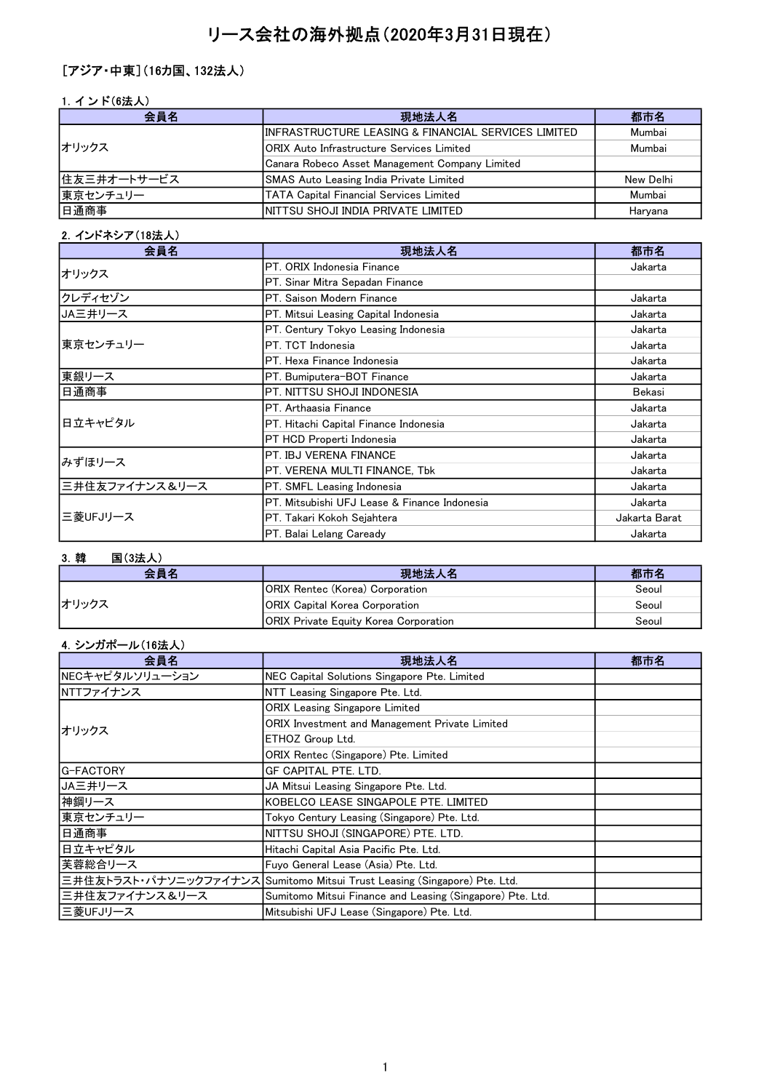# リース会社の海外拠点(2020年3月31日現在)

## [アジア・中東](16カ国、132法人)

## 1. インド(6法人)

| 会員名         | 現地法人名                                               | 都市名       |
|-------------|-----------------------------------------------------|-----------|
|             | INFRASTRUCTURE LEASING & FINANCIAL SERVICES LIMITED | Mumbai    |
| オリックス       | IORIX Auto Infrastructure Services Limited          | Mumbai    |
|             | Canara Robeco Asset Management Company Limited      |           |
| 住友三井オートサービス | <b>SMAS Auto Leasing India Private Limited</b>      | New Delhi |
| 東京センチュリー    | TATA Capital Financial Services Limited             | Mumbai    |
| 日通商事        | INITTSU SHOJI INDIA PRIVATE LIMITED                 | Haryana   |

## 2.インドネシア(18法人)

| 会員名            | 現地法人名                                        | 都市名           |
|----------------|----------------------------------------------|---------------|
| オリックス          | IPT. ORIX Indonesia Finance                  | Jakarta       |
|                | PT. Sinar Mitra Sepadan Finance              |               |
| クレディセゾン        | IPT. Saison Modern Finance                   | Jakarta       |
| ┃JA三井リース       | PT. Mitsui Leasing Capital Indonesia         | Jakarta       |
|                | PT. Century Tokyo Leasing Indonesia          | Jakarta       |
| 東京センチュリー       | IPT. TCT Indonesia                           | Jakarta       |
|                | <b>IPT. Hexa Finance Indonesia</b>           | Jakarta       |
| 東銀リース          | PT. Bumiputera-BOT Finance                   | Jakarta       |
| 日通商事           | IPT. NITTSU SHOJI INDONESIA                  | Bekasi        |
|                | IPT. Arthaasia Finance                       | Jakarta       |
| 日立キャピタル        | PT. Hitachi Capital Finance Indonesia        | Jakarta       |
|                | PT HCD Properti Indonesia                    | Jakarta       |
| みずほリース         | PT. IBJ VERENA FINANCE                       | Jakarta       |
|                | PT. VERENA MULTI FINANCE, Tbk                | Jakarta       |
| 三井住友ファイナンス&リース | PT. SMFL Leasing Indonesia                   | Jakarta       |
| 三菱UFJリース       | PT. Mitsubishi UFJ Lease & Finance Indonesia | Jakarta       |
|                | PT. Takari Kokoh Sejahtera                   | Jakarta Barat |
|                | PT. Balai Lelang Caready                     | Jakarta       |

## 3.韓 国(3法人)

| 会員名   | 現地法人名                                        | 都市名   |
|-------|----------------------------------------------|-------|
|       | <b>IORIX Rentec (Korea) Corporation</b>      | Seoul |
| オリックス | <b>IORIX Capital Korea Corporation</b>       | Seoul |
|       | <b>ORIX Private Equity Korea Corporation</b> | Seoul |

## 4.シンガポール(16法人)

| 会員名             | 現地法人名                                                                     | 都市名 |
|-----------------|---------------------------------------------------------------------------|-----|
| NECキャピタルソリューション | NEC Capital Solutions Singapore Pte. Limited                              |     |
| NTTファイナンス       | NTT Leasing Singapore Pte. Ltd.                                           |     |
|                 | <b>ORIX Leasing Singapore Limited</b>                                     |     |
| オリックス           | ORIX Investment and Management Private Limited                            |     |
|                 | ETHOZ Group Ltd.                                                          |     |
|                 | ORIX Rentec (Singapore) Pte. Limited                                      |     |
| lG-FACTORY      | GF CAPITAL PTE. LTD.                                                      |     |
| JA三井リース         | JA Mitsui Leasing Singapore Pte. Ltd.                                     |     |
| 神鋼リース           | KOBELCO LEASE SINGAPOLE PTE. LIMITED                                      |     |
| 東京センチュリー        | Tokyo Century Leasing (Singapore) Pte. Ltd.                               |     |
| 日通商事            | NITTSU SHOJI (SINGAPORE) PTE. LTD.                                        |     |
| 日立キャピタル         | Hitachi Capital Asia Pacific Pte. Ltd.                                    |     |
| 芙蓉総合リース         | Fuyo General Lease (Asia) Pte. Ltd.                                       |     |
|                 | 三井住友トラスト・パナソニックファイナンス Sumitomo Mitsui Trust Leasing (Singapore) Pte. Ltd. |     |
| 三井住友ファイナンス&リース  | Sumitomo Mitsui Finance and Leasing (Singapore) Pte. Ltd.                 |     |
| 三菱UFJリース        | Mitsubishi UFJ Lease (Singapore) Pte. Ltd.                                |     |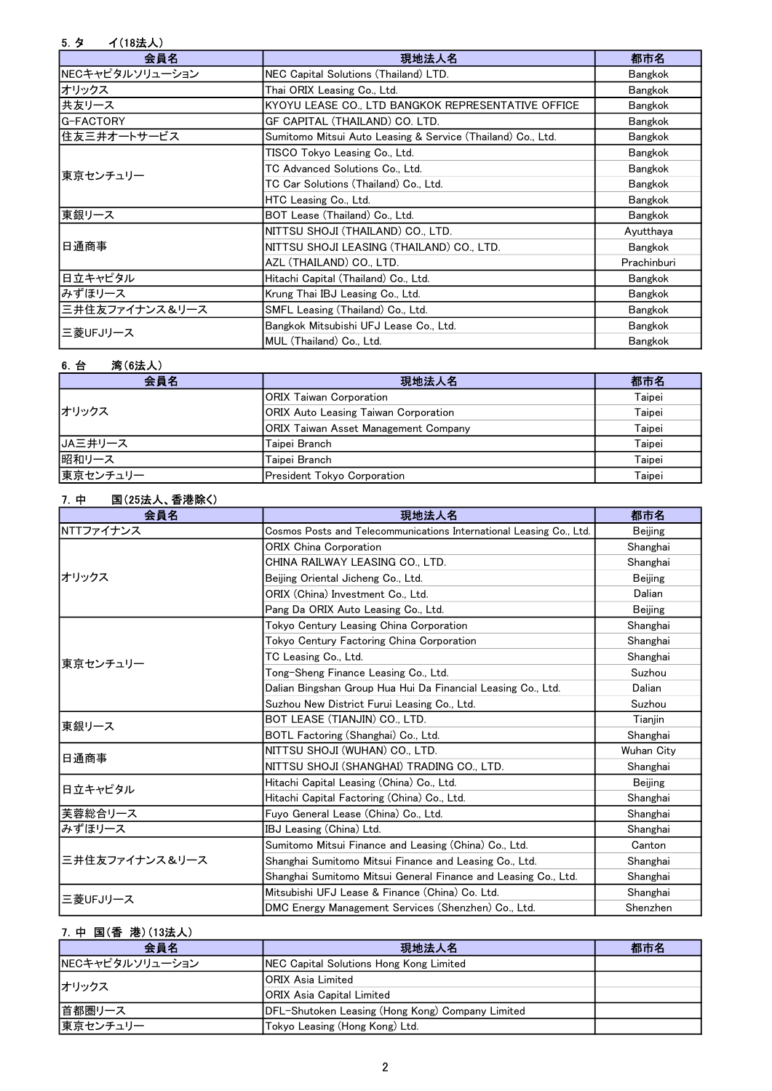# 5.タ イ(18法人)

| 会員名             | 現地法人名                                                       | 都市名            |
|-----------------|-------------------------------------------------------------|----------------|
| NECキャピタルソリューション | NEC Capital Solutions (Thailand) LTD.                       | <b>Bangkok</b> |
| オリックス           | Thai ORIX Leasing Co., Ltd.                                 | <b>Bangkok</b> |
| 共友リース           | KYOYU LEASE CO., LTD BANGKOK REPRESENTATIVE OFFICE          | Bangkok        |
| G-FACTORY       | GF CAPITAL (THAILAND) CO. LTD.                              | Bangkok        |
| 住友三井オートサービス     | Sumitomo Mitsui Auto Leasing & Service (Thailand) Co., Ltd. | Bangkok        |
|                 | TISCO Tokyo Leasing Co., Ltd.                               | <b>Bangkok</b> |
| 東京センチュリー        | TC Advanced Solutions Co., Ltd.                             | Bangkok        |
|                 | TC Car Solutions (Thailand) Co., Ltd.                       | <b>Bangkok</b> |
|                 | HTC Leasing Co., Ltd.                                       | Bangkok        |
| 東銀リース           | BOT Lease (Thailand) Co., Ltd.                              | <b>Bangkok</b> |
|                 | NITTSU SHOJI (THAILAND) CO., LTD.                           | Ayutthaya      |
| 日通商事            | NITTSU SHOJI LEASING (THAILAND) CO., LTD.                   | <b>Bangkok</b> |
|                 | AZL (THAILAND) CO., LTD.                                    | Prachinburi    |
| 日立キャピタル         | Hitachi Capital (Thailand) Co., Ltd.                        | Bangkok        |
| みずほリース          | Krung Thai IBJ Leasing Co., Ltd.                            | <b>Bangkok</b> |
| 三井住友ファイナンス&リース  | SMFL Leasing (Thailand) Co., Ltd.                           | <b>Bangkok</b> |
| 三菱UFJリース        | Bangkok Mitsubishi UFJ Lease Co., Ltd.                      | Bangkok        |
|                 | MUL (Thailand) Co., Ltd.                                    | Bangkok        |

## 6.台 湾(6法人)

| 会員名      | 現地法人名                                       | 都市名    |
|----------|---------------------------------------------|--------|
|          | <b>ORIX Taiwan Corporation</b>              | Taipei |
| オリックス    | <b>ORIX Auto Leasing Taiwan Corporation</b> | Taipei |
|          | <b>ORIX Taiwan Asset Management Company</b> | Taipei |
| IJA三井リース | Taipei Branch                               | Taipei |
| 昭和リース    | Taipei Branch                               | Taipei |
| 東京センチュリー | President Tokyo Corporation                 | Taipei |

## 7.中 国(25法人、香港除く)

| 会員名            | 現地法人名                                                               | 都市名            |
|----------------|---------------------------------------------------------------------|----------------|
| NTTファイナンス      | Cosmos Posts and Telecommunications International Leasing Co., Ltd. | <b>Beijing</b> |
|                | <b>ORIX China Corporation</b>                                       | Shanghai       |
|                | CHINA RAILWAY LEASING CO., LTD.                                     | Shanghai       |
| オリックス          | Beijing Oriental Jicheng Co., Ltd.                                  | <b>Beijing</b> |
|                | ORIX (China) Investment Co., Ltd.                                   | Dalian         |
|                | Pang Da ORIX Auto Leasing Co., Ltd.                                 | <b>Beijing</b> |
|                | Tokyo Century Leasing China Corporation                             | Shanghai       |
|                | Tokyo Century Factoring China Corporation                           | Shanghai       |
| 東京センチュリー       | TC Leasing Co., Ltd.                                                | Shanghai       |
|                | Tong-Sheng Finance Leasing Co., Ltd.                                | Suzhou         |
|                | Dalian Bingshan Group Hua Hui Da Financial Leasing Co., Ltd.        | Dalian         |
|                | Suzhou New District Furui Leasing Co., Ltd.                         | Suzhou         |
| 東銀リース          | BOT LEASE (TIANJIN) CO., LTD.                                       | Tianjin        |
|                | BOTL Factoring (Shanghai) Co., Ltd.                                 | Shanghai       |
| 日通商事           | NITTSU SHOJI (WUHAN) CO., LTD.                                      | Wuhan City     |
|                | NITTSU SHOJI (SHANGHAI) TRADING CO., LTD.                           | Shanghai       |
| 日立キャピタル        | Hitachi Capital Leasing (China) Co., Ltd.                           | <b>Beijing</b> |
|                | Hitachi Capital Factoring (China) Co., Ltd.                         | Shanghai       |
| 芙蓉総合リース        | Fuyo General Lease (China) Co., Ltd.                                | Shanghai       |
| みずほリース         | IBJ Leasing (China) Ltd.                                            | Shanghai       |
| 三井住友ファイナンス&リース | Sumitomo Mitsui Finance and Leasing (China) Co., Ltd.               | Canton         |
|                | Shanghai Sumitomo Mitsui Finance and Leasing Co., Ltd.              | Shanghai       |
|                | Shanghai Sumitomo Mitsui General Finance and Leasing Co., Ltd.      | Shanghai       |
| 三菱UFJリース       | Mitsubishi UFJ Lease & Finance (China) Co. Ltd.                     | Shanghai       |
|                | DMC Energy Management Services (Shenzhen) Co., Ltd.                 | Shenzhen       |

# 7.中 国(香 港)(13法人)

| 会員名             | 現地法人名                                                    | 都市名 |
|-----------------|----------------------------------------------------------|-----|
| NECキャピタルソリューション | NEC Capital Solutions Hong Kong Limited                  |     |
| オリックス           | IORIX Asia Limited                                       |     |
|                 | <b>IORIX Asia Capital Limited</b>                        |     |
| 首都圏リース          | <b>IDFL-Shutoken Leasing (Hong Kong) Company Limited</b> |     |
| 東京センチュリー        | Tokyo Leasing (Hong Kong) Ltd.                           |     |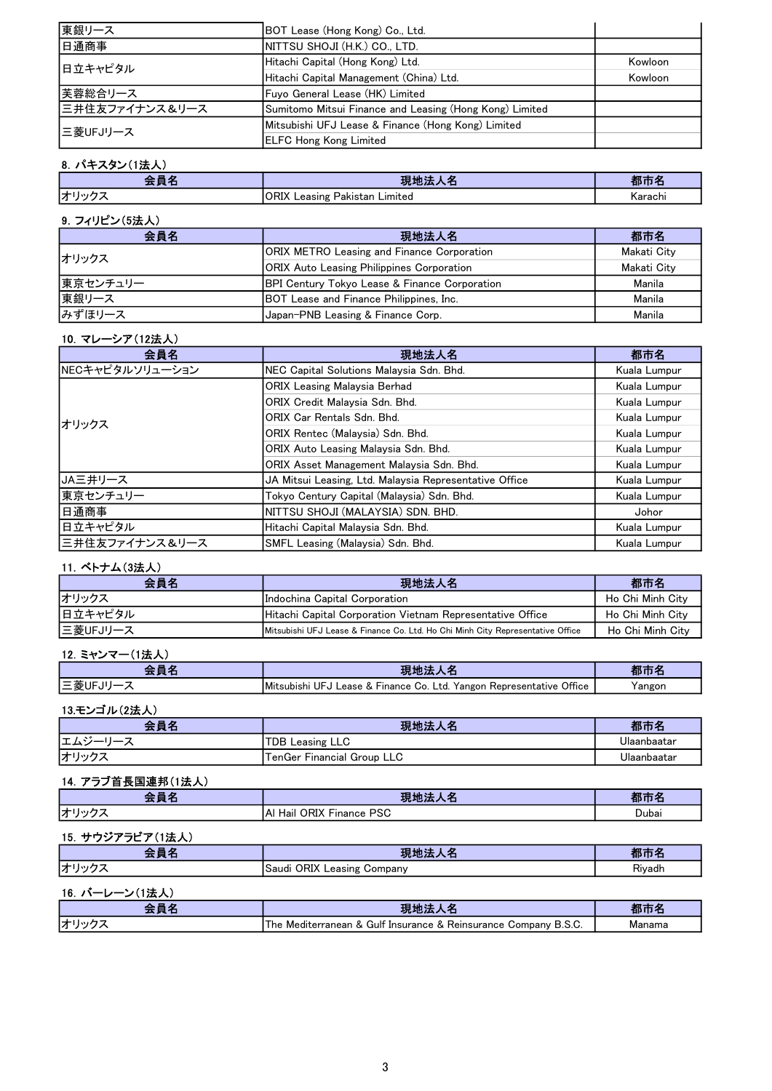| 東銀リース          | BOT Lease (Hong Kong) Co., Ltd.                         |         |
|----------------|---------------------------------------------------------|---------|
| 日通商事           | NITTSU SHOJI (H.K.) CO., LTD.                           |         |
| 日立キャピタル        | Hitachi Capital (Hong Kong) Ltd.                        | Kowloon |
|                | Hitachi Capital Management (China) Ltd.                 | Kowloon |
| 芙蓉総合リース        | Fuyo General Lease (HK) Limited                         |         |
| 三井住友ファイナンス&リース | Sumitomo Mitsui Finance and Leasing (Hong Kong) Limited |         |
| 三菱UFJリース       | Mitsubishi UFJ Lease & Finance (Hong Kong) Limited      |         |
|                | <b>ELFC Hong Kong Limited</b>                           |         |

### 8.パキスタン(1法人)

|              | .<br>. .<br>ъ.<br>. .                         | ſΡ<br>. . |
|--------------|-----------------------------------------------|-----------|
| <b> オリック</b> | <b>ORIX</b><br>Limited<br>Leasing<br>Pakistan | Karachi   |

## 9.フィリピン(5法人)

| 会員名      | 現地法人名                                                    | 都市名         |
|----------|----------------------------------------------------------|-------------|
| オリックス    | <b>ORIX METRO Leasing and Finance Corporation</b>        | Makati City |
|          | <b>ORIX Auto Leasing Philippines Corporation</b>         | Makati City |
| 東京センチュリー | <b>BPI Century Tokyo Lease &amp; Finance Corporation</b> | Manila      |
| 東銀リース    | BOT Lease and Finance Philippines, Inc.                  | Manila      |
| みずほリース   | Japan-PNB Leasing & Finance Corp.                        | Manila      |

#### 10.マレーシア(12法人)

| 会員名             | 現地法人名                                                  | 都市名          |
|-----------------|--------------------------------------------------------|--------------|
| NECキャピタルソリューション | NEC Capital Solutions Malaysia Sdn. Bhd.               | Kuala Lumpur |
|                 | ORIX Leasing Malaysia Berhad                           | Kuala Lumpur |
|                 | ORIX Credit Malavsia Sdn. Bhd.                         | Kuala Lumpur |
| オリックス           | ORIX Car Rentals Sdn. Bhd.                             | Kuala Lumpur |
|                 | ORIX Rentec (Malaysia) Sdn. Bhd.                       | Kuala Lumpur |
|                 | <b>ORIX Auto Leasing Malaysia Sdn. Bhd.</b>            | Kuala Lumpur |
|                 | ORIX Asset Management Malaysia Sdn. Bhd.               | Kuala Lumpur |
| JA三井リース         | JA Mitsui Leasing, Ltd. Malaysia Representative Office | Kuala Lumpur |
| 東京センチュリー        | Tokyo Century Capital (Malaysia) Sdn. Bhd.             | Kuala Lumpur |
| 日通商事            | INITTSU SHOJI (MALAYSIA) SDN. BHD.                     | Johor        |
| 日立キャピタル         | Hitachi Capital Malaysia Sdn. Bhd.                     | Kuala Lumpur |
| 三井住友ファイナンス&リース  | SMFL Leasing (Malaysia) Sdn. Bhd.                      | Kuala Lumpur |

## 11.ベトナム(3法人)

| 会員名      | 現地法人名                                                                          | 都市名              |
|----------|--------------------------------------------------------------------------------|------------------|
| オリックス    | Indochina Capital Corporation                                                  | Ho Chi Minh City |
| 日立キャピタル  | Hitachi Capital Corporation Vietnam Representative Office                      | Ho Chi Minh City |
| 三菱UFJリース | Mitsubishi UFJ Lease & Finance Co. Ltd. Ho Chi Minh City Representative Office | Ho Chi Minh City |

## 12.ミャンマー(1法人)

|        | 現地法                                                                  | 都市     |
|--------|----------------------------------------------------------------------|--------|
| 三菱UFJリ | Mitsubishi UFJ Lease & Finance Co. Ltd. Yangon Representative Office | Yangon |

#### 13.モンゴル(2法人)

| - 昌 夕<br>- - | 現地法                        | 都市名         |
|--------------|----------------------------|-------------|
| l — <i>l</i> | TDB Leasing LLC            | Jlaanbaatar |
| オリック -       | TenGer Financial Group LLC | Ulaanbaatar |

## 14.アラブ首長国連邦(1法人)

| - 2<br>_<br>−                  | . .<br>.<br>ы,<br>.                                  |       |
|--------------------------------|------------------------------------------------------|-------|
| ت ساد ب<br>.<br>$\overline{ }$ | <b>DSC</b><br>URIX ⊑<br>IA۱<br>Hail<br>⊢inance<br>ס׳ | Dubai |

## 15.サウジアラビア(1法人)

| 会員名            | 現地法人名                      | 都市名    |
|----------------|----------------------------|--------|
| オリックス          | Saudi ORIX Leasing Company | Rivadh |
| 16. バーレーン(1法人) |                            |        |

|    | 51.JL.                                                                                     |     |
|----|--------------------------------------------------------------------------------------------|-----|
| ゖヸ | Gulf<br>Insurance<br>Company<br>Reinsurance<br>l he<br>Mediterranean<br>. B.S.U.<br>$\sim$ | $-$ |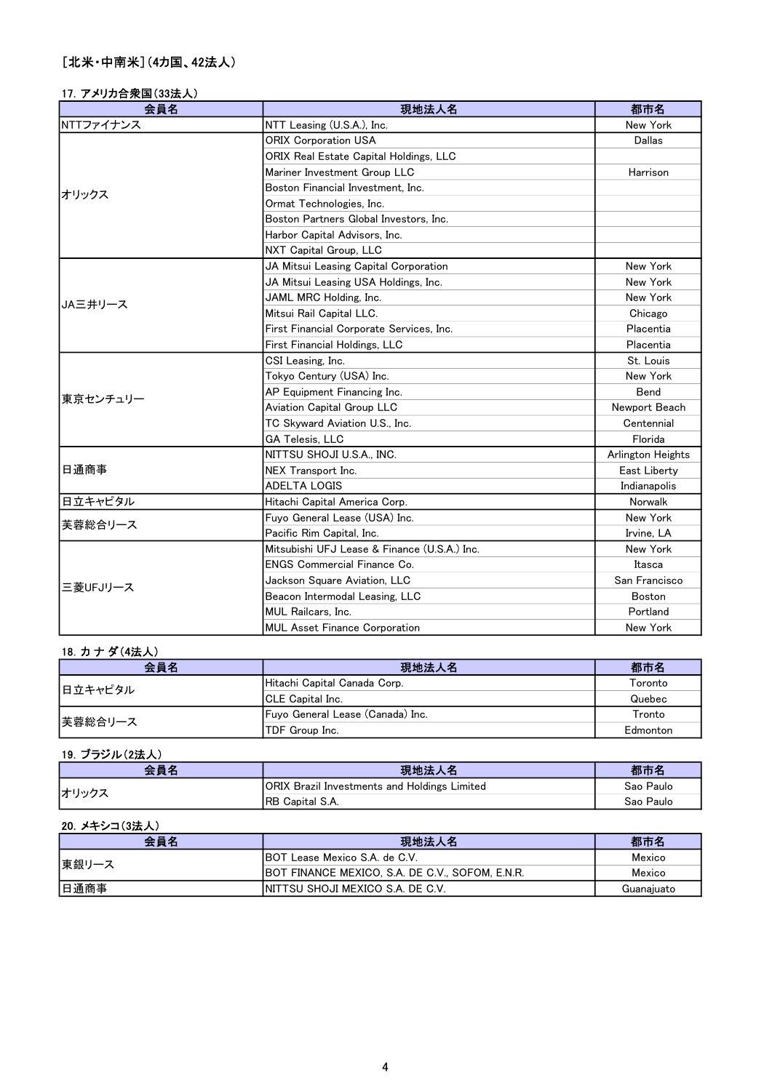# 17.アメリカ合衆国(33法人)

| 会員名       | 現地法人名                                        | 都市名               |
|-----------|----------------------------------------------|-------------------|
| NTTファイナンス | NTT Leasing (U.S.A.), Inc.                   | New York          |
|           | <b>ORIX Corporation USA</b>                  | Dallas            |
|           | ORIX Real Estate Capital Holdings, LLC       |                   |
|           | Mariner Investment Group LLC                 | Harrison          |
| オリックス     | Boston Financial Investment, Inc.            |                   |
|           | Ormat Technologies, Inc.                     |                   |
|           | Boston Partners Global Investors, Inc.       |                   |
|           | Harbor Capital Advisors, Inc.                |                   |
|           | NXT Capital Group, LLC                       |                   |
|           | JA Mitsui Leasing Capital Corporation        | New York          |
|           | JA Mitsui Leasing USA Holdings, Inc.         | New York          |
| JA三井リース   | JAML MRC Holding, Inc.                       | New York          |
|           | Mitsui Rail Capital LLC.                     | Chicago           |
|           | First Financial Corporate Services, Inc.     | Placentia         |
|           | First Financial Holdings, LLC                | Placentia         |
|           | CSI Leasing, Inc.                            | St. Louis         |
|           | Tokyo Century (USA) Inc.                     | New York          |
| 東京センチュリー  | AP Equipment Financing Inc.                  | Bend              |
|           | Aviation Capital Group LLC                   | Newport Beach     |
|           | TC Skyward Aviation U.S., Inc.               | Centennial        |
|           | GA Telesis, LLC                              | Florida           |
|           | NITTSU SHOJI U.S.A., INC.                    | Arlington Heights |
| 日通商事      | NEX Transport Inc.                           | East Liberty      |
|           | <b>ADELTA LOGIS</b>                          | Indianapolis      |
| 日立キャピタル   | Hitachi Capital America Corp.                | Norwalk           |
| 芙蓉総合リース   | Fuyo General Lease (USA) Inc.                | New York          |
|           | Pacific Rim Capital, Inc.                    | Irvine, LA        |
|           | Mitsubishi UFJ Lease & Finance (U.S.A.) Inc. | New York          |
|           | <b>ENGS Commercial Finance Co.</b>           | Itasca            |
| 三菱UFJリース  | Jackson Square Aviation, LLC                 | San Francisco     |
|           | Beacon Intermodal Leasing, LLC               | <b>Boston</b>     |
|           | MUL Railcars, Inc.                           | Portland          |
|           | <b>MUL Asset Finance Corporation</b>         | New York          |

## 18.カ ナ ダ(4法人)

| 会員名     | 現地法人名                            | 都市名      |
|---------|----------------------------------|----------|
| 日立キャピタル | Hitachi Capital Canada Corp.     | Toronto  |
|         | <b>ICLE Capital Inc.</b>         | Quebec   |
| 芙蓉総合リース | Fuyo General Lease (Canada) Inc. | Tronto   |
|         | TDF Group Inc.                   | Edmonton |

## 19.ブラジル(2法人)

| <b>会昌夕</b> | 現地法人名                                               | 都市名       |
|------------|-----------------------------------------------------|-----------|
| オリックス      | <b>ORIX Brazil Investments and Holdings Limited</b> | Sao Paulo |
|            | <b>IRB Capital S.A.</b>                             | Sao Paulo |

## 20.メキシコ(3法人)

| 会員名   | 現地法人名                                                   | 都市名        |
|-------|---------------------------------------------------------|------------|
| 東銀リース | <b>IBOT Lease Mexico S.A. de C.V.</b>                   | Mexico     |
|       | <b>IBOT FINANCE MEXICO, S.A. DE C.V., SOFOM, E.N.R.</b> | Mexico     |
| 日通商事  | INITTSU SHOJI MEXICO S.A. DE C.V.                       | Guanajuato |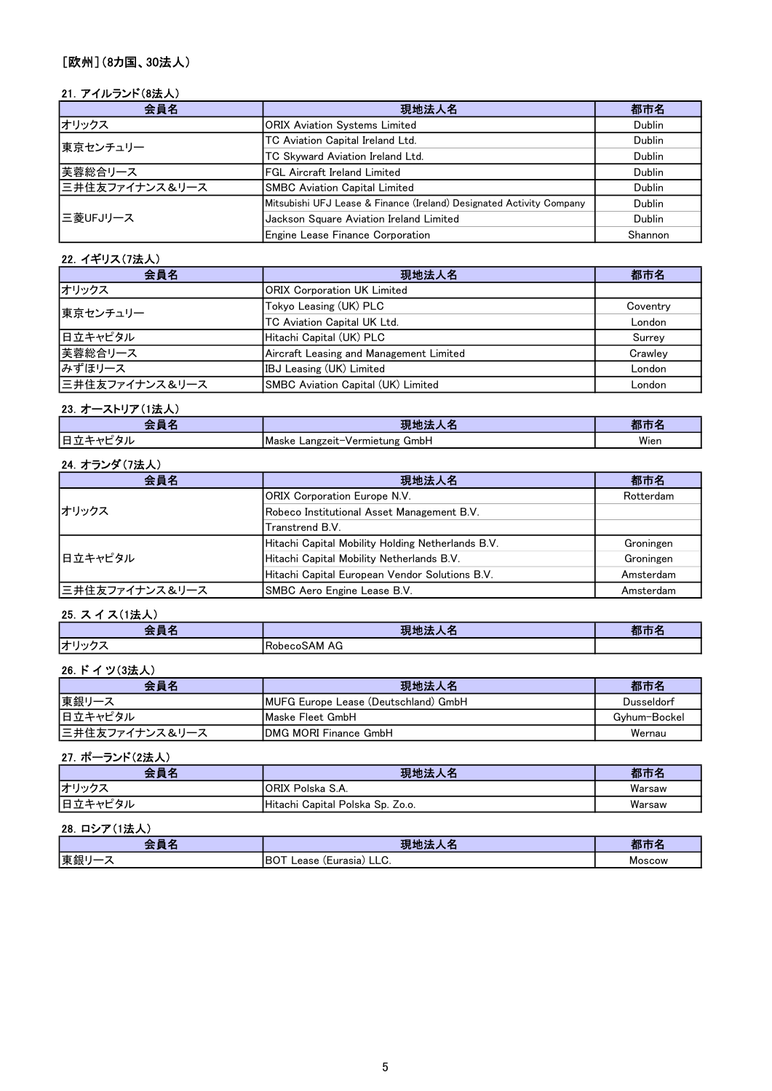# [欧州](8カ国、30法人)

## 21.アイルランド(8法人)

| 会員名            | 現地法人名                                                                | 都市名           |
|----------------|----------------------------------------------------------------------|---------------|
| オリックス          | <b>ORIX Aviation Systems Limited</b>                                 | <b>Dublin</b> |
| 東京センチュリー       | TC Aviation Capital Ireland Ltd.                                     | Dublin        |
|                | TC Skyward Aviation Ireland Ltd.                                     | Dublin        |
| 芙蓉総合リース        | FGL Aircraft Ireland Limited                                         | Dublin        |
| 三井住友ファイナンス&リース | <b>SMBC Aviation Capital Limited</b>                                 | <b>Dublin</b> |
|                | Mitsubishi UFJ Lease & Finance (Ireland) Designated Activity Company | <b>Dublin</b> |
| 三菱UFJリース       | Jackson Square Aviation Ireland Limited                              | <b>Dublin</b> |
|                | Engine Lease Finance Corporation                                     | Shannon       |

#### 22.イギリス(7法人)

| 会員名            | 現地法人名                                   | 都市名      |
|----------------|-----------------------------------------|----------|
| オリックス          | <b>ORIX Corporation UK Limited</b>      |          |
| 東京センチュリー       | Tokyo Leasing (UK) PLC                  | Coventry |
|                | TC Aviation Capital UK Ltd.             | London   |
| 日立キャピタル        | Hitachi Capital (UK) PLC                | Surrey   |
| 芙蓉総合リース        | Aircraft Leasing and Management Limited | Crawlev  |
| みずほリース         | IBJ Leasing (UK) Limited                | London   |
| 三井住友ファイナンス&リース | SMBC Aviation Capital (UK) Limited      | London   |

# 23. オーストリア(1法人)

|              | -20                                                        | .    |
|--------------|------------------------------------------------------------|------|
| -<br>--<br>- | <b>IMaske</b><br>ظmb⊢<br>ano.<br>100 <sup>o</sup><br>יי הי | Wien |
|              |                                                            |      |

# 24.オランダ(7法人)

| 会員名            | 現地法人名                                             | 都市名       |
|----------------|---------------------------------------------------|-----------|
| オリックス          | <b>ORIX Corporation Europe N.V.</b>               | Rotterdam |
|                | Robeco Institutional Asset Management B.V.        |           |
|                | Transtrend B.V.                                   |           |
| 日立キャピタル        | Hitachi Capital Mobility Holding Netherlands B.V. | Groningen |
|                | Hitachi Capital Mobility Netherlands B.V.         | Groningen |
|                | Hitachi Capital European Vendor Solutions B.V.    | Amsterdam |
| 三井住友ファイナンス&リース | SMBC Aero Engine Lease B.V.                       | Amsterdam |

## 25. スイス(1法人)

| - 10<br>$-$<br>____<br>╌    | <b>ALL A</b><br>--<br>ю.<br><b>Contract Contract Contract</b><br>- 5<br>╌ | .<br>--<br>. |
|-----------------------------|---------------------------------------------------------------------------|--------------|
| . __<br>.<br>$\overline{ }$ | RobecoSAM AG                                                              |              |

## 26.ドイツ(3法人)

| 会員名            | 現地法人名                                        | 都市名          |
|----------------|----------------------------------------------|--------------|
| 東銀リース          | <b>IMUFG Europe Lease (Deutschland) GmbH</b> | Dusseldorf   |
| 日立キャピタル        | <b>IMaske Fleet GmbH</b>                     | Gvhum-Bockel |
| 三井住友ファイナンス&リース | <b>IDMG MORI Finance GmbH</b>                | Wernau       |

#### 27.ポーランド(2法人)

| 会員名     | 現地法<br>⋏₩                        | 都市名    |
|---------|----------------------------------|--------|
| オリックこ   | <b>IORIX Polska S.A.</b>         | Warsaw |
| 日立キャピタル | Hitachi Capital Polska Sp. Zo.o. | Warsaw |

### 28.ロシア(1法人)

| --- | .                                               | .      |
|-----|-------------------------------------------------|--------|
| --  | って                                              |        |
| 東銀  | $\sim$ $-$<br>ΙBC<br>(Eurasia)<br>Lease<br>LLV. | Moscow |